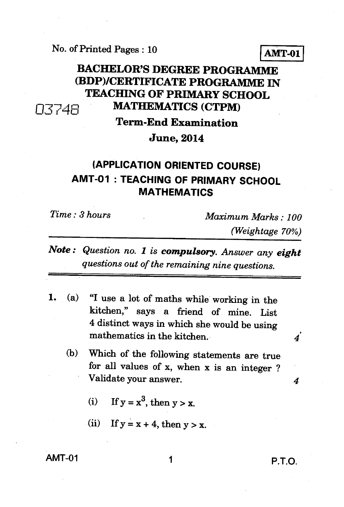## No. of Printed Pages : 10 **AMT-01**

# **BACHELOR'S DEGREE PROGRAMME (BDP)/CERTIFICATE PROGRAMME IN TEACHING OF PRIMARY SCHOOL**  0374E1 **MATHEMATICS (CTPM)**

# **Term-End Examination June, 2014**

## **(APPLICATION ORIENTED COURSE) AMT-01 : TEACHING OF PRIMARY SCHOOL MATHEMATICS**

*Time : 3 hours Maximum Marks : 100 (Weightage 70%)* 

*Note : Question no. 1 is compulsory. Answer any eight questions out of the remaining nine questions.* 

- *1. (a)* "I use a lot of maths while working in the kitchen," says a friend of mine. List 4 distinct ways in which she would be using mathematics in the kitchen.
	- (b) Which of the following statements are true for all values of x, when x is an integer ? Validate your answer. *4* 
		- (i) If  $y = x^3$ , then  $y > x$ .
		- (ii) If  $y = x + 4$ , then  $y > x$ .

AMT-01 1 P.T.O.

 $\overline{4}$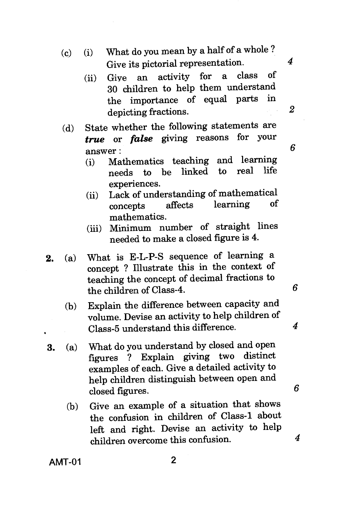- (c) (i) What do you mean by a half of a whole ? Give its pictorial representation.
	- (ii) Give an activity for a class of 30 children to help them understand the importance of equal parts depicting fractions.
- (d) State whether the following statements are *true* or *false* giving reasons for your answer :
	- (i) Mathematics teaching and learning<br>needs to be linked to real life linked to experiences.
	- (ii) Lack of understanding of mathematical<br>concents affects learning of learning mathematics.
	- (iii) Minimum number of straight lines needed to make a closed figure is 4.
- 2. (a) What is E-L-P-S sequence of learning a concept ? Illustrate this in the context of teaching the concept of decimal fractions to the children of Class-4.
	- (b) Explain the difference between capacity and volume. Devise an activity to help children of Class-5 understand this difference.
- 3. (a) What do you understand by closed and open figures ? Explain giving two distinct examples of each. Give a detailed activity to help children distinguish between open and closed figures.
	- (b) Give an example of a situation that shows the confusion in children of Class-1 about left and right. Devise an activity to help children overcome this confusion.

**AMT-01 2** 

 $\boldsymbol{4}$ 

6

4

6

 $\boldsymbol{\kappa}$ 

 $\overline{2}$ 

*4*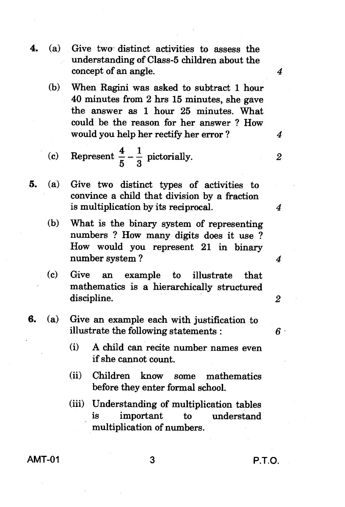concept of an angle. (b) When Ragini was asked to subtract 1 hour 40 minutes from 2 hrs 15 minutes, she gave the answer as 1 hour 25 minutes. What could be the reason for her answer ? How would you help her rectify her error ? (c) Represent  $\frac{4}{5} - \frac{1}{3}$  pictorially. **5.** (a) Give two distinct types of activities to convince a child that division by a fraction is multiplication by its reciprocal. (b) What is the binary system of representing numbers ? How many digits does it use ? How would you represent 21 in binary number system ? (c) Give an example to illustrate that mathematics is a hierarchically structured discipline. **6.** (a) Give an example each with justification to illustrate the following statements : (i) A child can recite number names even if she cannot count. (ii) Children know some mathematics before they enter formal school. (iii) Understanding of multiplication tables is important to understand

**4.** (a) Give twa distinct activities to assess the

understanding of Class-5 children about the

**AMT-01 3 P.T.O.** 

 $\boldsymbol{4}$ 

4

 $\overline{2}$ 

 $\boldsymbol{4}$ 

 $\boldsymbol{4}$ 

 $\overline{2}$ 

 $6 -$ 

multiplication of numbers.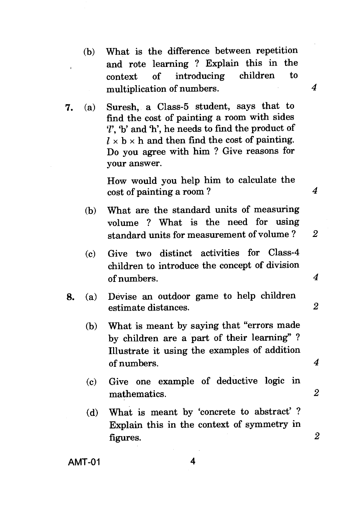- (b) What is the difference between repetition and rote learning ? Explain this in the context of introducing children to multiplication of numbers. 4
- **7.** (a) Suresh, a Class-5 student, says that to find the cost of painting a room with sides  $\mathcal{U}$ , 'b' and 'h', he needs to find the product of  $l \times b \times h$  and then find the cost of painting. Do you agree with him ? Give reasons for your answer.

How would you help him to calculate the cost of painting a room ? *4* 

- (b) What are the standard units of measuring volume ? What is the need for using standard units for measurement of volume ?
- (c) Give two distinct activities for Class-4 children to introduce the concept of division of numbers. *4*
- **8.** (a) Devise an outdoor game to help children estimate distances. *2* 
	- (b) What is meant by saying that "errors made by children are a part of their learning" ? Illustrate it using the examples of addition of numbers.
	- (c) Give one example of deductive logic in mathematics. *2*
	- (d) What is meant by 'concrete to abstract' ? Explain this in the context of symmetry in figures. *2*

2

 $\boldsymbol{4}$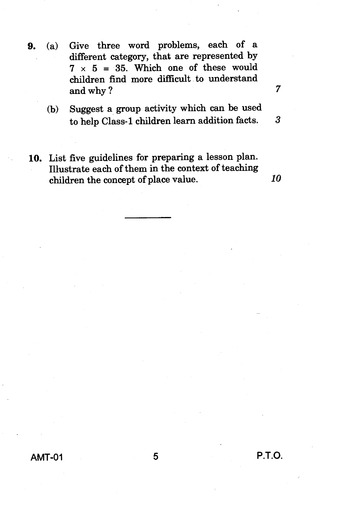- 9. (a) Give three word problems, each of a different category, that are represented by  $7 \times 5 = 35$ . Which one of these would children find more difficult to understand and why ? 7
	- (b) Suggest a group activity which can be used to help Class-1 children learn addition facts. 3
- 10. List five guidelines for preparing a lesson plan. Illustrate each of them in the context of teaching children the concept of place value. *10*

**AMT-01 5 P.T.O.**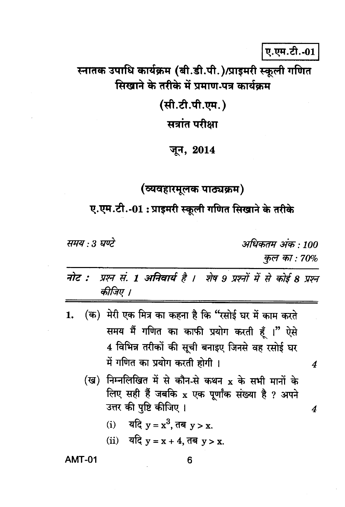ए.एम.टी.-01

स्नातक उपाधि कार्यक्रम (बी.डी.पी.)/प्राइमरी स्कूली गणित सिखाने के तरीके में प्रमाण-पत्र कार्यक्रम

(सी.टी.पी.एम.)

सत्रांत परीक्षा

#### जून, 2014

### (व्यवहारमूलक पाठ्यक्रम)

ए.एम.टी.-01 : प्राइमरी स्कूली गणित सिखाने के तरीके

समय : 3 घण्टे

अधिकतम अंक : 100 कुल का:  $70%$ 

4

 $\boldsymbol{4}$ 

- प्रश्न सं. 1 अनिवार्य है । शेष 9 प्रश्नों में से कोई 8 प्रश्न नोट : कीजिए ।
- (क) मेरी एक मित्र का कहना है कि "रसोई घर में काम करते 1. समय मैं गणित का काफी प्रयोग करती हैं ।" ऐसे 4 विभिन्न तरीकों की सूची बनाइए जिनसे वह रसोई घर में गणित का प्रयोग करती होगी ।
	- (ख) निम्नलिखित में से कौन-से कथन x के सभी मानों के लिए सही हैं जबकि x एक पूर्णांक संख्या है ? अपने उत्तर की पुष्टि कीजिए ।
		- (i) यदि  $y = x^3$ , तब  $y > x$ .
		- (ii) यदि  $y = x + 4$ , तब  $y > x$ .

#### **AMT-01**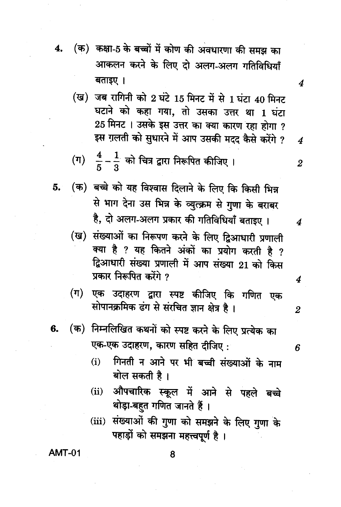- (क) कक्षा-5 के बच्चों में कोण की अवधारणा की समझ का 4. आकलन करने के लिए दो अलग-अलग गतिविधियाँ बताइए ।
	- (ख) जब रागिनी को 2 घंटे 15 मिनट में से 1 घंटा 40 मिनट घटाने को कहा गया, तो उसका उत्तर था 1 घंटा 25 मिनट । उसके इस उत्तर का क्या कारण रहा होगा ? इस ग़लती को सुधारने में आप उसकी मदद कैसे करेंगे ?
	- (ग)  $\frac{4}{5} \frac{1}{3}$  को चित्र द्वारा निरूपित कीजिए ।
- (क) बच्चे को यह विश्वास दिलाने के लिए कि किसी भिन्न 5. से भाग देना उस भिन्न के व्युत्क्रम से गुणा के बराबर है, दो अलग-अलग प्रकार की गतिविधियाँ बताइए ।
	- (ख) संख्याओं का निरूपण करने के लिए द्विआधारी प्रणाली क्या है ? यह कितने अंकों का प्रयोग करती है ? द्विआधारी संख्या प्रणाली में आप संख्या 21 को किस प्रकार निरूपित करेंगे ?
	- एक उदाहरण द्वारा स्पष्ट कीजिए कि गणित एक (ग) सोपानक्रमिक ढंग से संरचित ज्ञान क्षेत्र है।
- (क) निम्नलिखित कथनों को स्पष्ट करने के लिए प्रत्येक का 6. एक-एक उदाहरण, कारण सहित दीजिए:
- 6

 $\overline{4}$ 

 $\boldsymbol{4}$ 

 $\overline{2}$ 

 $\boldsymbol{4}$ 

4

 $\overline{2}$ 

- गिनती न आने पर भी बच्ची संख्याओं के नाम  $(i)$ बोल सकती है।
- औपचारिक स्कूल में आने से पहले बच्चे  $(ii)$ थोड़ा-बहुत गणित जानते हैं।
- (iii) संख्याओं की गुणा को समझने के लिए गुणा के पहाड़ों को समझना महत्त्वपूर्ण है।

**AMT-01**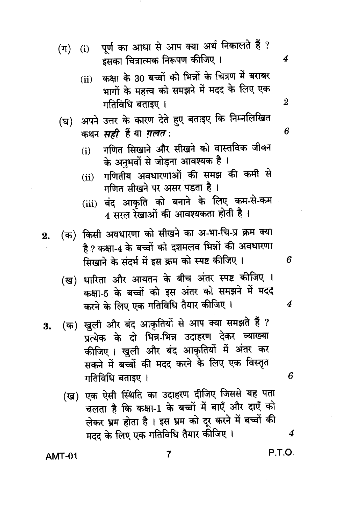- पूर्ण का आधा से आप क्या अर्थ निकालते हैं ?  $(\pi)$  $(i)$ इसका चित्रात्मक निरूपण कीजिए ।
	- कक्षा के 30 बच्चों को भिन्नों के चित्रण में बराबर  $(ii)$ भागों के महत्त्व को समझने में मदद के लिए एक गतिविधि बताइए ।
- (घ) अपने उत्तर के कारण देते हुए बताइए कि निम्नलिखित कथन सही हैं या ग़लत:
	- गणित सिखाने और सीखने को वास्तविक जीवन  $(i)$ के अनुभवों से जोड़ना आवश्यक है ।
	- गणितीय अवधारणाओं की समझ की कमी से  $(ii)$ गणित सीखने पर असर पडता है।
	- (iii) बंद आकृति को बनाने के लिए कम-से-कम 4 सरल रेखाओं की आवश्यकता होती है।
- (क) किसी अवधारणा को सीखने का अ-भा-चि-प्र क्रम क्या  $2.$ है ? कक्षा-4 के बच्चों को दशमलव भिन्नों की अवधारणा सिखाने के संदर्भ में इस क्रम को स्पष्ट कीजिए ।
	- (ख) धारिता और आयतन के बीच अंतर स्पष्ट कीजिए । कक्षा-5 के बच्चों को इस अंतर को समझने में मदद करने के लिए एक गतिविधि तैयार कीजिए ।
- (क) खुली और बंद आकृतियों से आप क्या समझते हैं ? 3. पत्येक के दो भिन्न-भिन्न उदाहरण देकर व्याख्या कीजिए। खुली और बंद आकृतियों में अंतर कर सकने में बच्चों की मदद करने के लिए एक विस्तृत गतिविधि बताइए ।
	- (ख) एक ऐसी स्थिति का उदाहरण दीजिए जिससे यह पता चलता है कि कक्षा-1 के बच्चों में बाएँ और दाएँ को लेकर भ्रम होता है । इस भ्रम को दूर करने में बच्चों की मदद के लिए एक गतिविधि तैयार कीजिए ।

**AMT-01** 

7

P.T.O.

2

4

6

6

4

6

4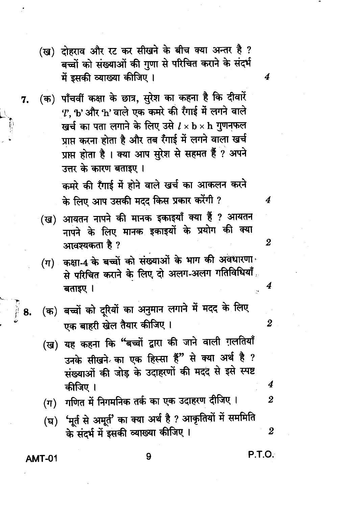- (ख) दोहराव और रट कर सीखने के बीच क्या अन्तर है ? बच्चों को संख्याओं की गुणा से परिचित कराने के संदर्भ में इसकी व्याख्या कीजिए ।
- (क) पाँचवीं कक्षा के छात्र, सुरेश का कहना है कि दीवारें 7.  $\boldsymbol{\mathit{T}}$ , b' और h' वाले एक कमरे की रँगाई में लगने वाले खर्च का पता लगाने के लिए उसे  $l \times {\bf b} \times {\bf h}$  गुणनफल प्राप्त करना होता है और तब रैंगाई में लगने वाला खर्च प्राप्त होता है । क्या आप सुरेश से सहमत हैं ? अपने उत्तर के कारण बताइए । कमरे की रँगाई में होने वाले खर्च का आकलन करने

के लिए आप उसकी मदद किस प्रकार करेंगी ?

- (ख) आयतन नापने की मानक इकाइयाँ क्या हैं ? आयतन नापने के लिए मानक इकाइयों के प्रयोग की क्या आवश्यकता है ?
- (ग) कक्षा-4 के बच्चों को संख्याओं के भाग की अवधारणा से परिचित कराने के लिए दो अलग-अलग गतिविधियाँ बताइए ।
- (क) बच्चों को दूरियों का अनुमान लगाने में मदद के लिए एक बाहरी खेल तैयार कीजिए।
- (ख) यह कहना कि "बच्चों द्वारा की जाने वाली ग़लतियाँ उनके सीखने का एक हिस्सा हैं" से क्या अर्थ है ? संख्याओं की जोड़ के उदाहरणों की मदद से इसे स्पष्ट कीजिए ।
- गणित में निगमनिक तर्क का एक उदाहरण दीजिए।  $(\pi)$
- 'मूर्त से अमूर्त' का क्या अर्थ है ? आकृतियों में सममिति  $(\mathbf{F})$ के संदर्भ में इसकी व्याख्या कीजिए ।  $\overline{2}$

**AMT-01** 

∦ 8.

#### 9

**P.T.O.** 

 $\boldsymbol{4}$ 

4

 $\overline{2}$ 

4

 $\boldsymbol{2}$ 

4

 $\overline{2}$